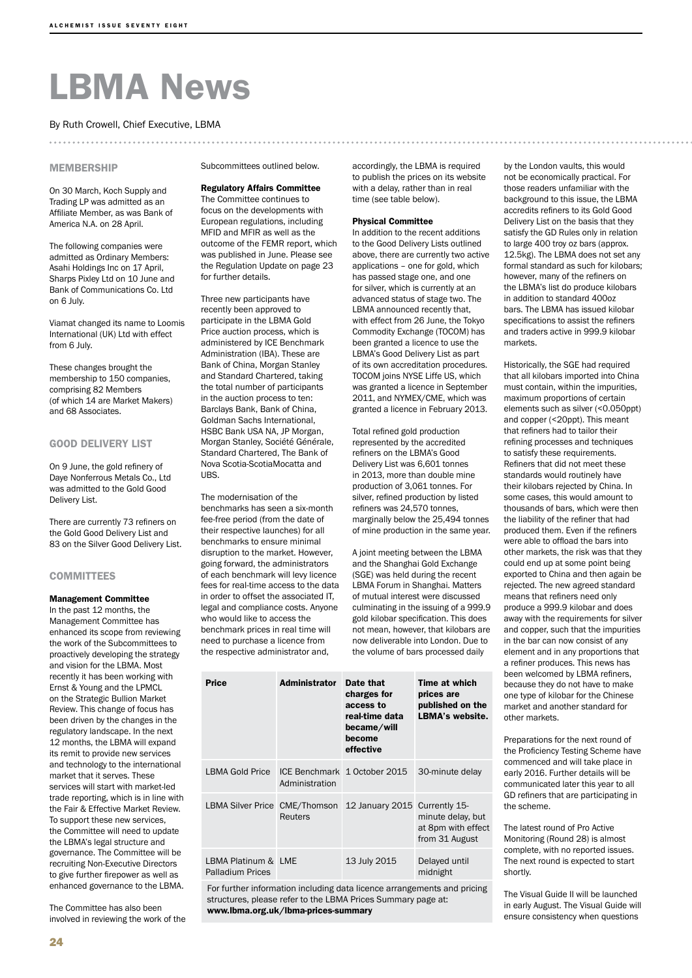# LBMA News

#### By Ruth Crowell, Chief Executive, LBMA

#### **MEMBERSHIP**

On 30 March, Koch Supply and Trading LP was admitted as an Affiliate Member, as was Bank of America N.A. on 28 April.

The following companies were admitted as Ordinary Members: Asahi Holdings Inc on 17 April, Sharps Pixley Ltd on 10 June and Bank of Communications Co. Ltd on 6 July.

Viamat changed its name to Loomis International (UK) Ltd with effect from 6 July.

These changes brought the membership to 150 companies, comprising 82 Members (of which 14 are Market Makers) and 68 Associates.

#### GOOD DELIVERY LIST

On 9 June, the gold refinery of Daye Nonferrous Metals Co., Ltd was admitted to the Gold Good Delivery List.

There are currently 73 refiners on the Gold Good Delivery List and 83 on the Silver Good Delivery List.

#### **COMMITTEES**

#### Management Committee

In the past 12 months, the Management Committee has enhanced its scope from reviewing the work of the Subcommittees to proactively developing the strategy and vision for the LBMA. Most recently it has been working with Ernst & Young and the LPMCL on the Strategic Bullion Market Review. This change of focus has been driven by the changes in the regulatory landscape. In the next 12 months, the LBMA will expand its remit to provide new services and technology to the international market that it serves. These services will start with market-led trade reporting, which is in line with the Fair & Effective Market Review. To support these new services, the Committee will need to update the LBMA's legal structure and governance. The Committee will be recruiting Non-Executive Directors to give further firepower as well as enhanced governance to the LBMA.

The Committee has also been involved in reviewing the work of the Subcommittees outlined below.

#### Regulatory Affairs Committee

The Committee continues to focus on the developments with European regulations, including MFID and MFIR as well as the outcome of the FEMR report, which was published in June. Please see the Regulation Update on page 23 for further details.

Three new participants have recently been approved to participate in the LBMA Gold Price auction process, which is administered by ICE Benchmark Administration (IBA). These are Bank of China, Morgan Stanley and Standard Chartered, taking the total number of participants in the auction process to ten: Barclays Bank, Bank of China, Goldman Sachs International, HSBC Bank USA NA, JP Morgan, Morgan Stanley, Société Générale, Standard Chartered, The Bank of Nova Scotia-ScotiaMocatta and UBS.

The modernisation of the benchmarks has seen a six-month

fee-free period (from the date of their respective launches) for all benchmarks to ensure minimal disruption to the market. However, going forward, the administrators of each benchmark will levy licence fees for real-time access to the data in order to offset the associated IT, legal and compliance costs. Anyone who would like to access the benchmark prices in real time will need to purchase a licence from the respective administrator and,

accordingly, the LBMA is required to publish the prices on its website with a delay, rather than in real time (see table below).

#### Physical Committee

In addition to the recent additions to the Good Delivery Lists outlined above, there are currently two active applications – one for gold, which has passed stage one, and one for silver, which is currently at an advanced status of stage two. The LBMA announced recently that, with effect from 26 June, the Tokyo Commodity Exchange (TOCOM) has been granted a licence to use the LBMA's Good Delivery List as part of its own accreditation procedures. TOCOM joins NYSE Liffe US, which was granted a licence in September 2011, and NYMEX/CME, which was granted a licence in February 2013.

Total refined gold production represented by the accredited refiners on the LBMA's Good Delivery List was 6,601 tonnes in 2013, more than double mine production of 3,061 tonnes. For silver, refined production by listed refiners was 24,570 tonnes, marginally below the 25,494 tonnes of mine production in the same year.

A joint meeting between the LBMA and the Shanghai Gold Exchange (SGE) was held during the recent LBMA Forum in Shanghai. Matters of mutual interest were discussed culminating in the issuing of a 999.9 gold kilobar specification. This does not mean, however, that kilobars are now deliverable into London. Due to the volume of bars processed daily

| Price                                          | Administrator  | Date that<br>charges for<br>access to<br>real-time data<br>became/will<br>become | Time at which<br>prices are<br>published on the<br>LBMA's website. |
|------------------------------------------------|----------------|----------------------------------------------------------------------------------|--------------------------------------------------------------------|
|                                                |                | effective                                                                        |                                                                    |
| LBMA Gold Price                                | Administration | ICE Benchmark 1 October 2015                                                     | 30-minute delay                                                    |
|                                                | Reuters        | LBMA Silver Price CME/Thomson 12 January 2015 Currently 15-                      | minute delay, but<br>at 8pm with effect<br>from 31 August          |
| LBMA Platinum & LME<br><b>Palladium Prices</b> |                | 13 July 2015                                                                     | Delayed until<br>midnight                                          |

For further information including data licence arrangements and pricing structures, please refer to the LBMA Prices Summary page at: www.lbma.org.uk/lbma-prices-summary

by the London vaults, this would not be economically practical. For those readers unfamiliar with the background to this issue, the LBMA accredits refiners to its Gold Good Delivery List on the basis that they satisfy the GD Rules only in relation to large 400 troy oz bars (approx. 12.5kg). The LBMA does not set any formal standard as such for kilobars; however, many of the refiners on the LBMA's list do produce kilobars in addition to standard 400oz bars. The LBMA has issued kilobar specifications to assist the refiners and traders active in 999.9 kilobar markets.

Historically, the SGE had required that all kilobars imported into China must contain, within the impurities, maximum proportions of certain elements such as silver (<0.050ppt) and copper (<20ppt). This meant that refiners had to tailor their refining processes and techniques to satisfy these requirements. Refiners that did not meet these standards would routinely have their kilobars rejected by China. In some cases, this would amount to thousands of bars, which were then the liability of the refiner that had produced them. Even if the refiners were able to offload the bars into other markets, the risk was that they could end up at some point being exported to China and then again be rejected. The new agreed standard means that refiners need only produce a 999.9 kilobar and does away with the requirements for silver and copper, such that the impurities in the bar can now consist of any element and in any proportions that a refiner produces. This news has been welcomed by LBMA refiners, because they do not have to make one type of kilobar for the Chinese market and another standard for other markets.

Preparations for the next round of the Proficiency Testing Scheme have commenced and will take place in early 2016. Further details will be communicated later this year to all GD refiners that are participating in the scheme.

The latest round of Pro Active Monitoring (Round 28) is almost complete, with no reported issues. The next round is expected to start shortly.

The Visual Guide II will be launched in early August. The Visual Guide will ensure consistency when questions